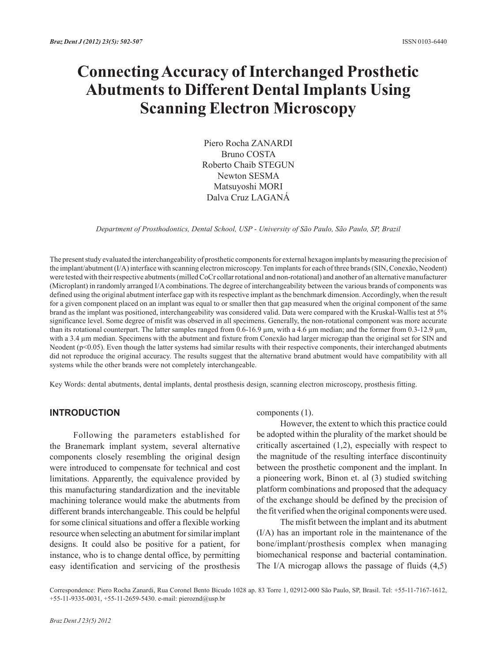# **Connecting Accuracy of Interchanged Prosthetic Abutments to Different Dental Implants Using Scanning Electron Microscopy**

Piero Rocha ZANARDI Bruno COSTA Roberto Chaib STEGUN Newton SESMA Matsuyoshi MORI Dalva Cruz LAGANÁ

*Department of Prosthodontics, Dental School, USP - University of São Paulo, São Paulo, SP, Brazil*

The present study evaluated the interchangeability of prosthetic components for external hexagon implants by measuring the precision of the implant/abutment (I/A) interface with scanning electron microscopy. Ten implants for each of three brands (SIN, Conexão, Neodent) were tested with their respective abutments (milled CoCr collar rotational and non-rotational) and another of an alternative manufacturer (Microplant) in randomly arranged I/A combinations. The degree of interchangeability between the various brands of components was defined using the original abutment interface gap with its respective implant as the benchmark dimension. Accordingly, when the result for a given component placed on an implant was equal to or smaller then that gap measured when the original component of the same brand as the implant was positioned, interchangeability was considered valid. Data were compared with the Kruskal-Wallis test at 5% significance level. Some degree of misfit was observed in all specimens. Generally, the non-rotational component was more accurate than its rotational counterpart. The latter samples ranged from 0.6-16.9 µm, with a 4.6 µm median; and the former from 0.3-12.9 µm, with a 3.4 µm median. Specimens with the abutment and fixture from Conexão had larger microgap than the original set for SIN and Neodent (p<0.05). Even though the latter systems had similar results with their respective components, their interchanged abutments did not reproduce the original accuracy. The results suggest that the alternative brand abutment would have compatibility with all systems while the other brands were not completely interchangeable.

Key Words: dental abutments, dental implants, dental prosthesis design, scanning electron microscopy, prosthesis fitting.

# **INTRODUCTION**

Following the parameters established for the Branemark implant system, several alternative components closely resembling the original design were introduced to compensate for technical and cost limitations. Apparently, the equivalence provided by this manufacturing standardization and the inevitable machining tolerance would make the abutments from different brands interchangeable. This could be helpful for some clinical situations and offer a flexible working resource when selecting an abutment for similar implant designs. It could also be positive for a patient, for instance, who is to change dental office, by permitting easy identification and servicing of the prosthesis

components (1).

However, the extent to which this practice could be adopted within the plurality of the market should be critically ascertained (1,2), especially with respect to the magnitude of the resulting interface discontinuity between the prosthetic component and the implant. In a pioneering work, Binon et. al (3) studied switching platform combinations and proposed that the adequacy of the exchange should be defined by the precision of the fit verified when the original components were used.

The misfit between the implant and its abutment (I/A) has an important role in the maintenance of the bone/implant/prosthesis complex when managing biomechanical response and bacterial contamination. The I/A microgap allows the passage of fluids (4,5)

Correspondence: Piero Rocha Zanardi, Rua Coronel Bento Bicudo 1028 ap. 83 Torre 1, 02912-000 São Paulo, SP, Brasil. Tel: +55-11-7167-1612, +55-11-9335-0031, +55-11-2659-5430. e-mail: pieroznd@usp.br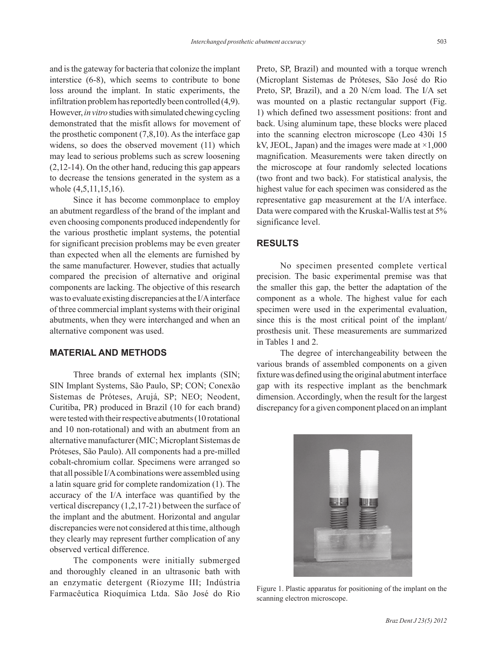and is the gateway for bacteria that colonize the implant interstice (6-8), which seems to contribute to bone loss around the implant. In static experiments, the infiltration problem has reportedly been controlled (4,9). However, *in vitro* studies with simulated chewing cycling demonstrated that the misfit allows for movement of the prosthetic component  $(7.8,10)$ . As the interface gap widens, so does the observed movement (11) which may lead to serious problems such as screw loosening (2,12-14). On the other hand, reducing this gap appears to decrease the tensions generated in the system as a whole  $(4,5,11,15,16)$ .

Since it has become commonplace to employ an abutment regardless of the brand of the implant and even choosing components produced independently for the various prosthetic implant systems, the potential for significant precision problems may be even greater than expected when all the elements are furnished by the same manufacturer. However, studies that actually compared the precision of alternative and original components are lacking. The objective of this research was to evaluate existing discrepancies at the I/A interface of three commercial implant systems with their original abutments, when they were interchanged and when an alternative component was used.

## **MATERIAL AND METHODS**

Three brands of external hex implants (SIN; SIN Implant Systems, São Paulo, SP; CON; Conexão Sistemas de Próteses, Arujá, SP; NEO; Neodent, Curitiba, PR) produced in Brazil (10 for each brand) were tested with their respective abutments (10 rotational and 10 non-rotational) and with an abutment from an alternative manufacturer (MIC; Microplant Sistemas de Próteses, São Paulo). All components had a pre-milled cobalt-chromium collar. Specimens were arranged so that all possible I/A combinations were assembled using a latin square grid for complete randomization (1). The accuracy of the I/A interface was quantified by the vertical discrepancy (1,2,17-21) between the surface of the implant and the abutment. Horizontal and angular discrepancies were not considered at this time, although they clearly may represent further complication of any observed vertical difference.

The components were initially submerged and thoroughly cleaned in an ultrasonic bath with an enzymatic detergent (Riozyme III; Indústria Farmacêutica Rioquímica Ltda. São José do Rio

Preto, SP, Brazil) and mounted with a torque wrench (Microplant Sistemas de Próteses, São José do Rio Preto, SP, Brazil), and a 20 N/cm load. The I/A set was mounted on a plastic rectangular support (Fig. 1) which defined two assessment positions: front and back. Using aluminum tape, these blocks were placed into the scanning electron microscope (Leo 430i 15 kV, JEOL, Japan) and the images were made at  $\times 1,000$ magnification. Measurements were taken directly on the microscope at four randomly selected locations (two front and two back). For statistical analysis, the highest value for each specimen was considered as the representative gap measurement at the I/A interface. Data were compared with the Kruskal-Wallis test at 5% significance level.

### **RESULTS**

No specimen presented complete vertical precision. The basic experimental premise was that the smaller this gap, the better the adaptation of the component as a whole. The highest value for each specimen were used in the experimental evaluation, since this is the most critical point of the implant/ prosthesis unit. These measurements are summarized in Tables 1 and 2.

The degree of interchangeability between the various brands of assembled components on a given fixture was defined using the original abutment interface gap with its respective implant as the benchmark dimension. Accordingly, when the result for the largest discrepancy for a given component placed on an implant



Figure 1. Plastic apparatus for positioning of the implant on the scanning electron microscope.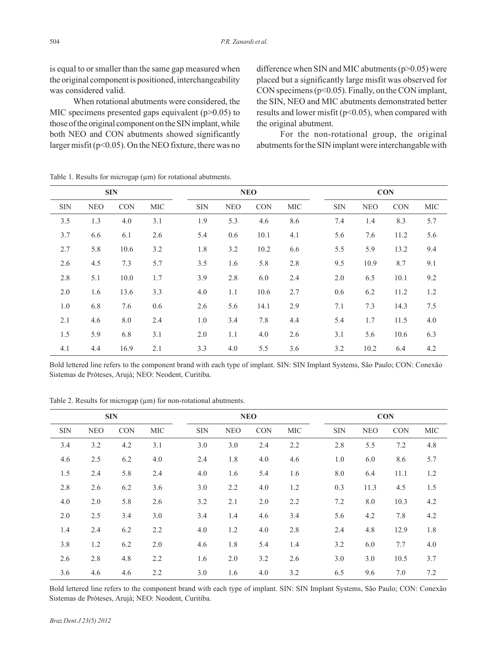is equal to or smaller than the same gap measured when the original component is positioned, interchangeability was considered valid.

When rotational abutments were considered, the MIC specimens presented gaps equivalent ( $p > 0.05$ ) to those of the original component on the SIN implant, while both NEO and CON abutments showed significantly larger misfit (p<0.05). On the NEO fixture, there was no difference when SIN and MIC abutments (p>0.05) were placed but a significantly large misfit was observed for CON specimens ( $p<0.05$ ). Finally, on the CON implant, the SIN, NEO and MIC abutments demonstrated better results and lower misfit ( $p<0.05$ ), when compared with the original abutment.

For the non-rotational group, the original abutments for the SIN implant were interchangable with

| <b>SIN</b> |            |            |            | <b>NEO</b> |            |            |            | <b>CON</b> |            |            |            |            |
|------------|------------|------------|------------|------------|------------|------------|------------|------------|------------|------------|------------|------------|
| <b>SIN</b> | <b>NEO</b> | <b>CON</b> | <b>MIC</b> | <b>SIN</b> | <b>NEO</b> | <b>CON</b> | <b>MIC</b> |            | <b>SIN</b> | <b>NEO</b> | <b>CON</b> | <b>MIC</b> |
| 3.5        | 1.3        | 4.0        | 3.1        | 1.9        | 5.3        | 4.6        | 8.6        |            | 7.4        | 1.4        | 8.3        | 5.7        |
| 3.7        | 6.6        | 6.1        | 2.6        | 5.4        | 0.6        | 10.1       | 4.1        |            | 5.6        | 7.6        | 11.2       | 5.6        |
| 2.7        | 5.8        | 10.6       | 3.2        | 1.8        | 3.2        | 10.2       | 6.6        |            | 5.5        | 5.9        | 13.2       | 9.4        |
| 2.6        | 4.5        | 7.3        | 5.7        | 3.5        | 1.6        | 5.8        | 2.8        |            | 9.5        | 10.9       | 8.7        | 9.1        |
| 2.8        | 5.1        | 10.0       | 1.7        | 3.9        | 2.8        | 6.0        | 2.4        |            | 2.0        | 6.5        | 10.1       | 9.2        |
| 2.0        | 1.6        | 13.6       | 3.3        | 4.0        | 1.1        | 10.6       | 2.7        |            | 0.6        | 6.2        | 11.2       | 1.2        |
| 1.0        | 6.8        | 7.6        | 0.6        | 2.6        | 5.6        | 14.1       | 2.9        |            | 7.1        | 7.3        | 14.3       | 7.5        |
| 2.1        | 4.6        | 8.0        | 2.4        | 1.0        | 3.4        | 7.8        | 4.4        |            | 5.4        | 1.7        | 11.5       | 4.0        |
| 1.5        | 5.9        | 6.8        | 3.1        | 2.0        | 1.1        | 4.0        | 2.6        |            | 3.1        | 5.6        | 10.6       | 6.3        |
| 4.1        | 4.4        | 16.9       | 2.1        | 3.3        | 4.0        | 5.5        | 3.6        |            | 3.2        | 10.2       | 6.4        | 4.2        |

Table 1. Results for microgap ( $\mu$ m) for rotational abutments.

Bold lettered line refers to the component brand with each type of implant. SIN: SIN Implant Systems, São Paulo; CON: Conexão Sistemas de Próteses, Arujá; NEO: Neodent, Curitiba.

|  | Table 2. Results for microgap $(\mu m)$ for non-rotational abutments. |
|--|-----------------------------------------------------------------------|
|  |                                                                       |

| <b>SIN</b> |            |            |            | <b>NEO</b> |            |            |            | <b>CON</b> |            |            |            |
|------------|------------|------------|------------|------------|------------|------------|------------|------------|------------|------------|------------|
| <b>SIN</b> | <b>NEO</b> | <b>CON</b> | <b>MIC</b> | <b>SIN</b> | <b>NEO</b> | <b>CON</b> | <b>MIC</b> | <b>SIN</b> | <b>NEO</b> | <b>CON</b> | <b>MIC</b> |
| 3.4        | 3.2        | 4.2        | 3.1        | 3.0        | 3.0        | 2.4        | 2.2        | 2.8        | 5.5        | 7.2        | 4.8        |
| 4.6        | 2.5        | 6.2        | 4.0        | 2.4        | 1.8        | 4.0        | 4.6        | 1.0        | 6.0        | 8.6        | 5.7        |
| 1.5        | 2.4        | 5.8        | 2.4        | 4.0        | 1.6        | 5.4        | 1.6        | 8.0        | 6.4        | 11.1       | 1.2        |
| 2.8        | 2.6        | 6.2        | 3.6        | 3.0        | 2.2        | 4.0        | $1.2\,$    | 0.3        | 11.3       | 4.5        | 1.5        |
| 4.0        | 2.0        | 5.8        | 2.6        | 3.2        | 2.1        | 2.0        | 2.2        | 7.2        | 8.0        | 10.3       | 4.2        |
| 2.0        | 2.5        | 3.4        | 3.0        | 3.4        | 1.4        | 4.6        | 3.4        | 5.6        | 4.2        | 7.8        | 4.2        |
| 1.4        | 2.4        | 6.2        | 2.2        | 4.0        | 1.2        | 4.0        | 2.8        | 2.4        | 4.8        | 12.9       | 1.8        |
| 3.8        | 1.2        | 6.2        | 2.0        | 4.6        | 1.8        | 5.4        | 1.4        | 3.2        | 6.0        | 7.7        | 4.0        |
| 2.6        | 2.8        | 4.8        | 2.2        | 1.6        | 2.0        | 3.2        | 2.6        | 3.0        | 3.0        | 10.5       | 3.7        |
| 3.6        | 4.6        | 4.6        | 2.2        | 3.0        | 1.6        | 4.0        | 3.2        | 6.5        | 9.6        | 7.0        | 7.2        |

Bold lettered line refers to the component brand with each type of implant. SIN: SIN Implant Systems, São Paulo; CON: Conexão Sistemas de Próteses, Arujá; NEO: Neodent, Curitiba.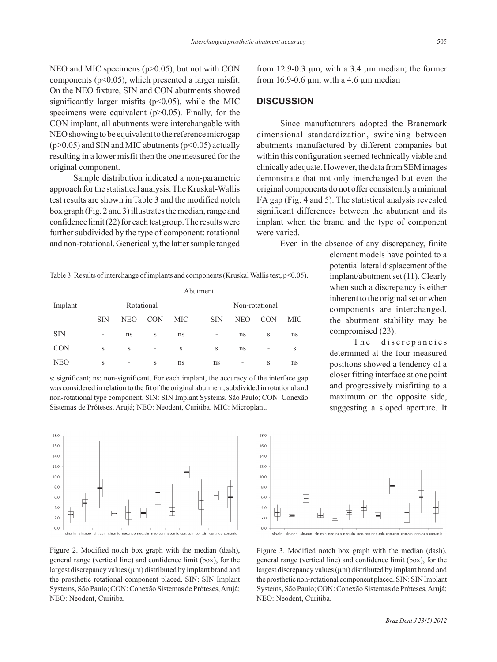NEO and MIC specimens (p>0.05), but not with CON components (p<0.05), which presented a larger misfit. On the NEO fixture, SIN and CON abutments showed significantly larger misfits  $(p<0.05)$ , while the MIC specimens were equivalent  $(p>0.05)$ . Finally, for the CON implant, all abutments were interchangable with NEO showing to be equivalent to the reference microgap  $(p>0.05)$  and SIN and MIC abutments  $(p<0.05)$  actually resulting in a lower misfit then the one measured for the original component.

Sample distribution indicated a non-parametric approach for the statistical analysis. The Kruskal-Wallis test results are shown in Table 3 and the modified notch box graph (Fig. 2 and 3) illustrates the median, range and confidence limit (22) for each test group. The results were further subdivided by the type of component: rotational and non-rotational. Generically, the latter sample ranged from 12.9-0.3 µm, with a 3.4 µm median; the former from 16.9-0.6  $\mu$ m, with a 4.6  $\mu$ m median

## **DISCUSSION**

Since manufacturers adopted the Branemark dimensional standardization, switching between abutments manufactured by different companies but within this configuration seemed technically viable and clinically adequate. However, the data from SEM images demonstrate that not only interchanged but even the original components do not offer consistently a minimal I/A gap (Fig. 4 and 5). The statistical analysis revealed significant differences between the abutment and its implant when the brand and the type of component were varied.

Even in the absence of any discrepancy, finite

Table 3. Results of interchange of implants and components (Kruskal Wallis test, p<0.05).

|            | Abutment   |                          |                          |       |                          |            |            |     |  |  |  |  |
|------------|------------|--------------------------|--------------------------|-------|--------------------------|------------|------------|-----|--|--|--|--|
| Implant    |            |                          | Rotational               |       | Non-rotational           |            |            |     |  |  |  |  |
|            | <b>SIN</b> | <b>NEO</b>               | <b>CON</b>               | MIC . | <b>SIN</b>               | <b>NEO</b> | <b>CON</b> | MIC |  |  |  |  |
| <b>SIN</b> | -          | ns                       | S                        | ns    | $\overline{\phantom{a}}$ | ns         | S          | ns  |  |  |  |  |
| <b>CON</b> | S          | S                        | $\overline{\phantom{a}}$ | S     | S                        | ns         | -          | S   |  |  |  |  |
| <b>NEO</b> | S          | $\overline{\phantom{a}}$ | S                        | ns    | ns                       | -          | S          | ns  |  |  |  |  |

s: significant; ns: non-significant. For each implant, the accuracy of the interface gap was considered in relation to the fit of the original abutment, subdivided in rotational and non-rotational type component. SIN: SIN Implant Systems, São Paulo; CON: Conexão Sistemas de Próteses, Arujá; NEO: Neodent, Curitiba. MIC: Microplant.



Figure 2. Modified notch box graph with the median (dash), general range (vertical line) and confidence limit (box), for the largest discrepancy values ( $\mu$ m) distributed by implant brand and the prosthetic rotational component placed. SIN: SIN Implant Systems, São Paulo; CON: Conexão Sistemas de Próteses, Arujá; NEO: Neodent, Curitiba.

element models have pointed to a potential lateral displacement of the implant/abutment set (11). Clearly when such a discrepancy is either inherent to the original set or when components are interchanged, the abutment stability may be compromised (23).

The discrepancies determined at the four measured positions showed a tendency of a closer fitting interface at one point and progressively misfitting to a maximum on the opposite side, suggesting a sloped aperture. It



Figure 3. Modified notch box graph with the median (dash), general range (vertical line) and confidence limit (box), for the largest discrepancy values (µm) distributed by implant brand and the prosthetic non-rotational component placed. SIN: SIN Implant Systems, São Paulo; CON: Conexão Sistemas de Próteses, Arujá; NEO: Neodent, Curitiba.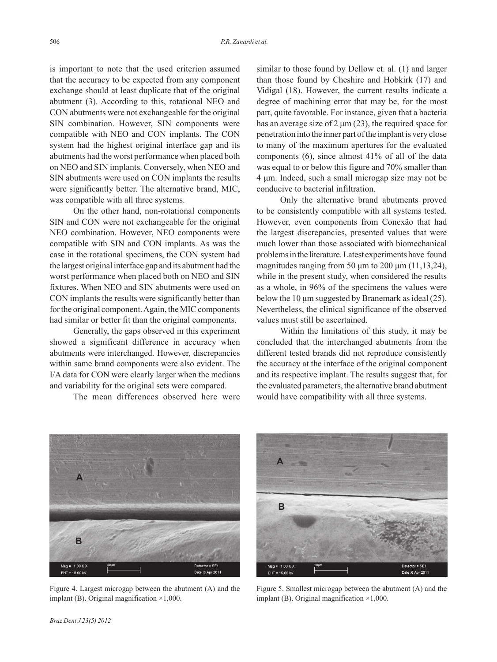is important to note that the used criterion assumed that the accuracy to be expected from any component exchange should at least duplicate that of the original abutment (3). According to this, rotational NEO and CON abutments were not exchangeable for the original SIN combination. However, SIN components were compatible with NEO and CON implants. The CON system had the highest original interface gap and its abutments had the worst performance when placed both on NEO and SIN implants. Conversely, when NEO and SIN abutments were used on CON implants the results were significantly better. The alternative brand, MIC, was compatible with all three systems.

On the other hand, non-rotational components SIN and CON were not exchangeable for the original NEO combination. However, NEO components were compatible with SIN and CON implants. As was the case in the rotational specimens, the CON system had the largest original interface gap and its abutment had the worst performance when placed both on NEO and SIN fixtures. When NEO and SIN abutments were used on CON implants the results were significantly better than for the original component. Again, the MIC components had similar or better fit than the original components.

Generally, the gaps observed in this experiment showed a significant difference in accuracy when abutments were interchanged. However, discrepancies within same brand components were also evident. The I/A data for CON were clearly larger when the medians and variability for the original sets were compared.

The mean differences observed here were

similar to those found by Dellow et. al. (1) and larger than those found by Cheshire and Hobkirk (17) and Vidigal (18). However, the current results indicate a degree of machining error that may be, for the most part, quite favorable. For instance, given that a bacteria has an average size of 2 μm (23), the required space for penetration into the inner part of the implant is very close to many of the maximum apertures for the evaluated components (6), since almost 41% of all of the data was equal to or below this figure and 70% smaller than 4 μm. Indeed, such a small microgap size may not be conducive to bacterial infiltration.

Only the alternative brand abutments proved to be consistently compatible with all systems tested. However, even components from Conexão that had the largest discrepancies, presented values that were much lower than those associated with biomechanical problems in the literature. Latest experiments have found magnitudes ranging from 50  $\mu$ m to 200  $\mu$ m (11,13,24), while in the present study, when considered the results as a whole, in 96% of the specimens the values were below the 10 μm suggested by Branemark as ideal (25). Nevertheless, the clinical significance of the observed values must still be ascertained.

Within the limitations of this study, it may be concluded that the interchanged abutments from the different tested brands did not reproduce consistently the accuracy at the interface of the original component and its respective implant. The results suggest that, for the evaluated parameters, the alternative brand abutment would have compatibility with all three systems.



Figure 4. Largest microgap between the abutment (A) and the implant (B). Original magnification  $\times$ 1,000.



Figure 5. Smallest microgap between the abutment (A) and the implant (B). Original magnification  $\times$ 1,000.